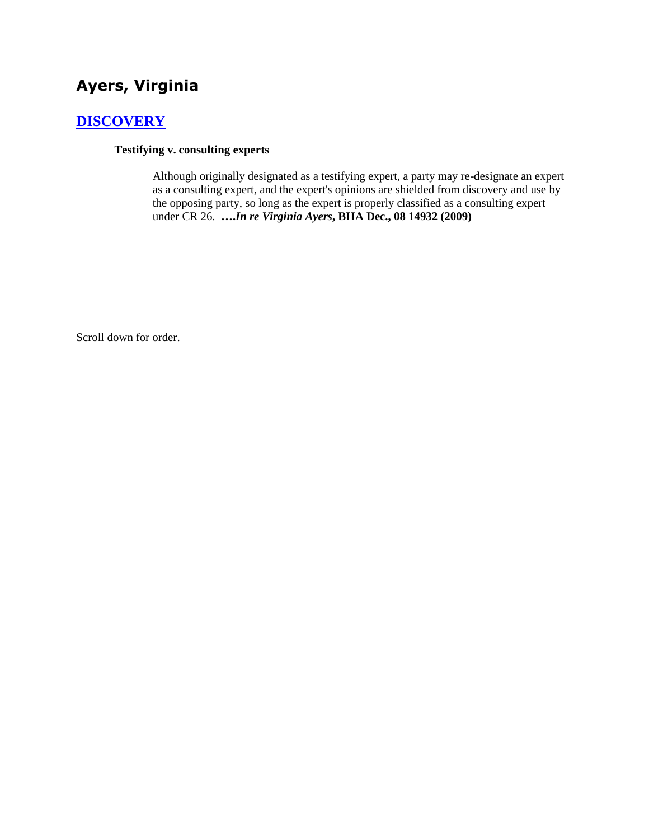# **Ayers, Virginia**

# **[DISCOVERY](http://www.biia.wa.gov/SDSubjectIndex.html#DISCOVERYFITS)**

### **Testifying v. consulting experts**

Although originally designated as a testifying expert, a party may re-designate an expert as a consulting expert, and the expert's opinions are shielded from discovery and use by the opposing party, so long as the expert is properly classified as a consulting expert under CR 26. **….***In re Virginia Ayers***, BIIA Dec., 08 14932 (2009)**

Scroll down for order.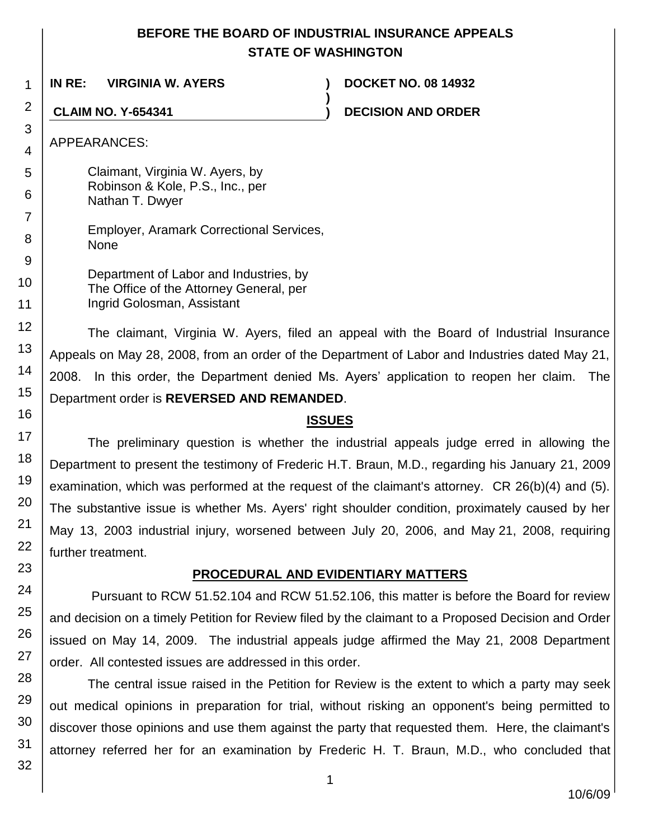## **BEFORE THE BOARD OF INDUSTRIAL INSURANCE APPEALS STATE OF WASHINGTON**

**)**

**IN RE: VIRGINIA W. AYERS ) DOCKET NO. 08 14932**

**CLAIM NO. Y-654341 ) DECISION AND ORDER**

APPEARANCES:

Claimant, Virginia W. Ayers, by Robinson & Kole, P.S., Inc., per Nathan T. Dwyer

Employer, Aramark Correctional Services, None

Department of Labor and Industries, by The Office of the Attorney General, per Ingrid Golosman, Assistant

The claimant, Virginia W. Ayers, filed an appeal with the Board of Industrial Insurance Appeals on May 28, 2008, from an order of the Department of Labor and Industries dated May 21, 2008. In this order, the Department denied Ms. Ayers' application to reopen her claim. The Department order is **REVERSED AND REMANDED**.

### **ISSUES**

The preliminary question is whether the industrial appeals judge erred in allowing the Department to present the testimony of Frederic H.T. Braun, M.D., regarding his January 21, 2009 examination, which was performed at the request of the claimant's attorney. CR 26(b)(4) and (5). The substantive issue is whether Ms. Ayers' right shoulder condition, proximately caused by her May 13, 2003 industrial injury, worsened between July 20, 2006, and May 21, 2008, requiring further treatment.

## **PROCEDURAL AND EVIDENTIARY MATTERS**

Pursuant to RCW 51.52.104 and RCW 51.52.106, this matter is before the Board for review and decision on a timely Petition for Review filed by the claimant to a Proposed Decision and Order issued on May 14, 2009. The industrial appeals judge affirmed the May 21, 2008 Department order. All contested issues are addressed in this order.

The central issue raised in the Petition for Review is the extent to which a party may seek out medical opinions in preparation for trial, without risking an opponent's being permitted to discover those opinions and use them against the party that requested them. Here, the claimant's attorney referred her for an examination by Frederic H. T. Braun, M.D., who concluded that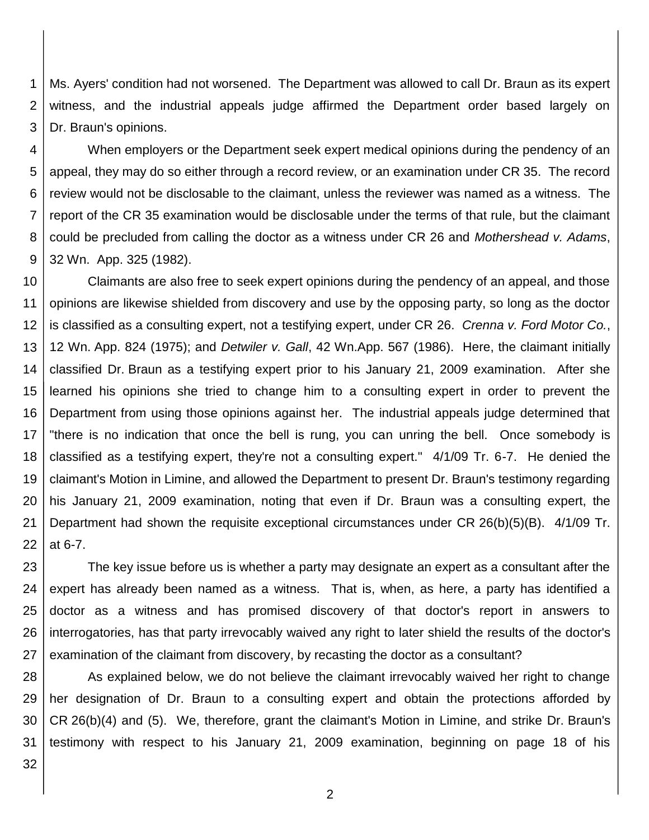1 2 3 Ms. Ayers' condition had not worsened. The Department was allowed to call Dr. Braun as its expert witness, and the industrial appeals judge affirmed the Department order based largely on Dr. Braun's opinions.

4 5 6 7 8 9 When employers or the Department seek expert medical opinions during the pendency of an appeal, they may do so either through a record review, or an examination under CR 35. The record review would not be disclosable to the claimant, unless the reviewer was named as a witness. The report of the CR 35 examination would be disclosable under the terms of that rule, but the claimant could be precluded from calling the doctor as a witness under CR 26 and *Mothershead v. Adams*, 32 Wn. App. 325 (1982).

10 11 12 13 14 15 16 17 18 19 20 21 22 Claimants are also free to seek expert opinions during the pendency of an appeal, and those opinions are likewise shielded from discovery and use by the opposing party, so long as the doctor is classified as a consulting expert, not a testifying expert, under CR 26. *Crenna v. Ford Motor Co.*, 12 Wn. App. 824 (1975); and *Detwiler v. Gall*, 42 Wn.App. 567 (1986). Here, the claimant initially classified Dr. Braun as a testifying expert prior to his January 21, 2009 examination. After she learned his opinions she tried to change him to a consulting expert in order to prevent the Department from using those opinions against her. The industrial appeals judge determined that "there is no indication that once the bell is rung, you can unring the bell. Once somebody is classified as a testifying expert, they're not a consulting expert." 4/1/09 Tr. 6-7. He denied the claimant's Motion in Limine, and allowed the Department to present Dr. Braun's testimony regarding his January 21, 2009 examination, noting that even if Dr. Braun was a consulting expert, the Department had shown the requisite exceptional circumstances under CR 26(b)(5)(B). 4/1/09 Tr. at 6-7.

23 24 25 26 27 The key issue before us is whether a party may designate an expert as a consultant after the expert has already been named as a witness. That is, when, as here, a party has identified a doctor as a witness and has promised discovery of that doctor's report in answers to interrogatories, has that party irrevocably waived any right to later shield the results of the doctor's examination of the claimant from discovery, by recasting the doctor as a consultant?

28 29 30 31 As explained below, we do not believe the claimant irrevocably waived her right to change her designation of Dr. Braun to a consulting expert and obtain the protections afforded by CR 26(b)(4) and (5). We, therefore, grant the claimant's Motion in Limine, and strike Dr. Braun's testimony with respect to his January 21, 2009 examination, beginning on page 18 of his

32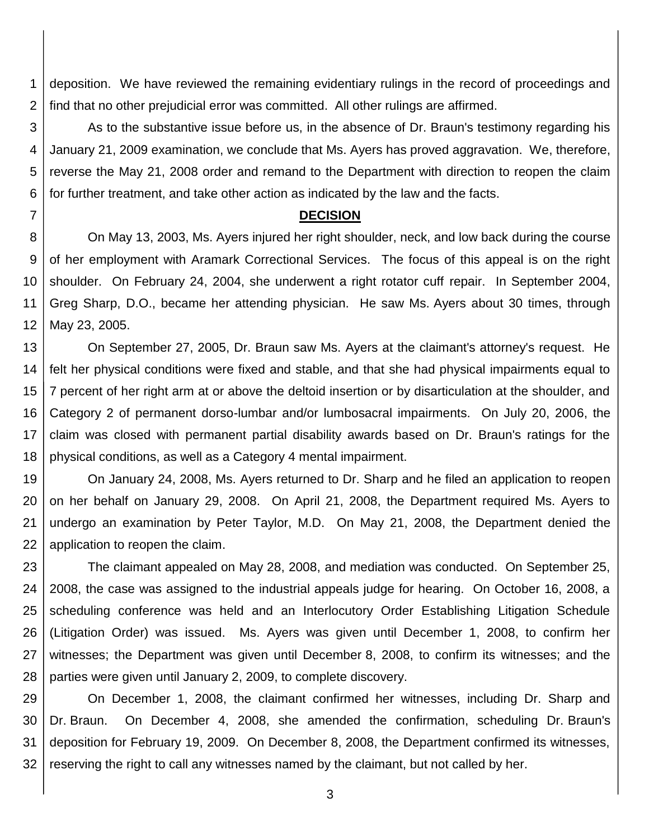1 2 deposition. We have reviewed the remaining evidentiary rulings in the record of proceedings and find that no other prejudicial error was committed. All other rulings are affirmed.

3 4 5 6 As to the substantive issue before us, in the absence of Dr. Braun's testimony regarding his January 21, 2009 examination, we conclude that Ms. Ayers has proved aggravation. We, therefore, reverse the May 21, 2008 order and remand to the Department with direction to reopen the claim for further treatment, and take other action as indicated by the law and the facts.

### **DECISION**

7

8 9 10 11 12 On May 13, 2003, Ms. Ayers injured her right shoulder, neck, and low back during the course of her employment with Aramark Correctional Services. The focus of this appeal is on the right shoulder. On February 24, 2004, she underwent a right rotator cuff repair. In September 2004, Greg Sharp, D.O., became her attending physician. He saw Ms. Ayers about 30 times, through May 23, 2005.

13 14 15 16 17 18 On September 27, 2005, Dr. Braun saw Ms. Ayers at the claimant's attorney's request. He felt her physical conditions were fixed and stable, and that she had physical impairments equal to 7 percent of her right arm at or above the deltoid insertion or by disarticulation at the shoulder, and Category 2 of permanent dorso-lumbar and/or lumbosacral impairments. On July 20, 2006, the claim was closed with permanent partial disability awards based on Dr. Braun's ratings for the physical conditions, as well as a Category 4 mental impairment.

19 20 21 22 On January 24, 2008, Ms. Ayers returned to Dr. Sharp and he filed an application to reopen on her behalf on January 29, 2008. On April 21, 2008, the Department required Ms. Ayers to undergo an examination by Peter Taylor, M.D. On May 21, 2008, the Department denied the application to reopen the claim.

23 24 25 26 27 28 The claimant appealed on May 28, 2008, and mediation was conducted. On September 25, 2008, the case was assigned to the industrial appeals judge for hearing. On October 16, 2008, a scheduling conference was held and an Interlocutory Order Establishing Litigation Schedule (Litigation Order) was issued. Ms. Ayers was given until December 1, 2008, to confirm her witnesses; the Department was given until December 8, 2008, to confirm its witnesses; and the parties were given until January 2, 2009, to complete discovery.

29 30 31 32 On December 1, 2008, the claimant confirmed her witnesses, including Dr. Sharp and Dr. Braun. On December 4, 2008, she amended the confirmation, scheduling Dr. Braun's deposition for February 19, 2009. On December 8, 2008, the Department confirmed its witnesses, reserving the right to call any witnesses named by the claimant, but not called by her.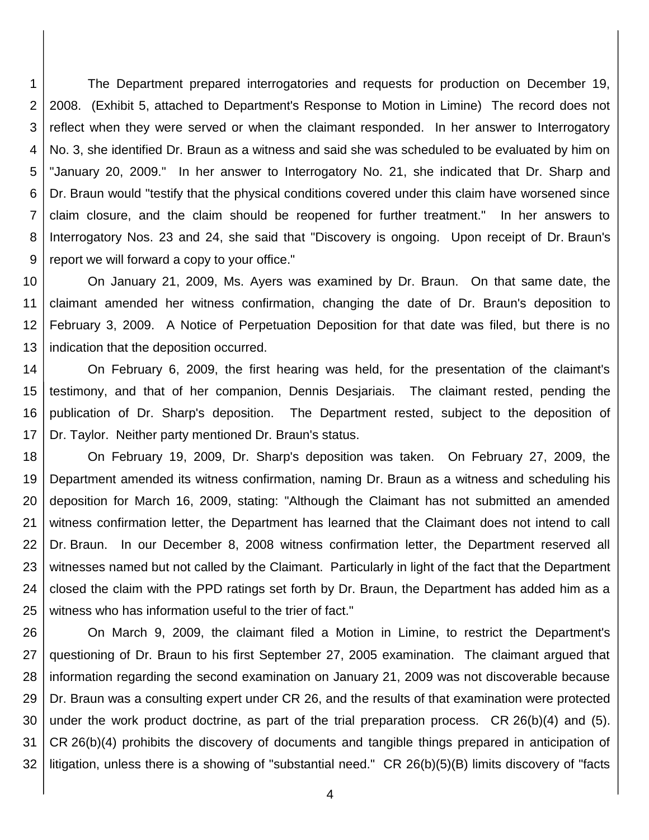1 2 3 4 5 6 7 8 9 The Department prepared interrogatories and requests for production on December 19, 2008. (Exhibit 5, attached to Department's Response to Motion in Limine) The record does not reflect when they were served or when the claimant responded. In her answer to Interrogatory No. 3, she identified Dr. Braun as a witness and said she was scheduled to be evaluated by him on "January 20, 2009." In her answer to Interrogatory No. 21, she indicated that Dr. Sharp and Dr. Braun would "testify that the physical conditions covered under this claim have worsened since claim closure, and the claim should be reopened for further treatment." In her answers to Interrogatory Nos. 23 and 24, she said that "Discovery is ongoing. Upon receipt of Dr. Braun's report we will forward a copy to your office."

10 11 12 13 On January 21, 2009, Ms. Ayers was examined by Dr. Braun. On that same date, the claimant amended her witness confirmation, changing the date of Dr. Braun's deposition to February 3, 2009. A Notice of Perpetuation Deposition for that date was filed, but there is no indication that the deposition occurred.

14 15 16 17 On February 6, 2009, the first hearing was held, for the presentation of the claimant's testimony, and that of her companion, Dennis Desjariais. The claimant rested, pending the publication of Dr. Sharp's deposition. The Department rested, subject to the deposition of Dr. Taylor. Neither party mentioned Dr. Braun's status.

18 19 20 21 22 23 24 25 On February 19, 2009, Dr. Sharp's deposition was taken. On February 27, 2009, the Department amended its witness confirmation, naming Dr. Braun as a witness and scheduling his deposition for March 16, 2009, stating: "Although the Claimant has not submitted an amended witness confirmation letter, the Department has learned that the Claimant does not intend to call Dr. Braun. In our December 8, 2008 witness confirmation letter, the Department reserved all witnesses named but not called by the Claimant. Particularly in light of the fact that the Department closed the claim with the PPD ratings set forth by Dr. Braun, the Department has added him as a witness who has information useful to the trier of fact."

26 27 28 29 30 31 32 On March 9, 2009, the claimant filed a Motion in Limine, to restrict the Department's questioning of Dr. Braun to his first September 27, 2005 examination. The claimant argued that information regarding the second examination on January 21, 2009 was not discoverable because Dr. Braun was a consulting expert under CR 26, and the results of that examination were protected under the work product doctrine, as part of the trial preparation process. CR 26(b)(4) and (5). CR 26(b)(4) prohibits the discovery of documents and tangible things prepared in anticipation of litigation, unless there is a showing of "substantial need." CR 26(b)(5)(B) limits discovery of "facts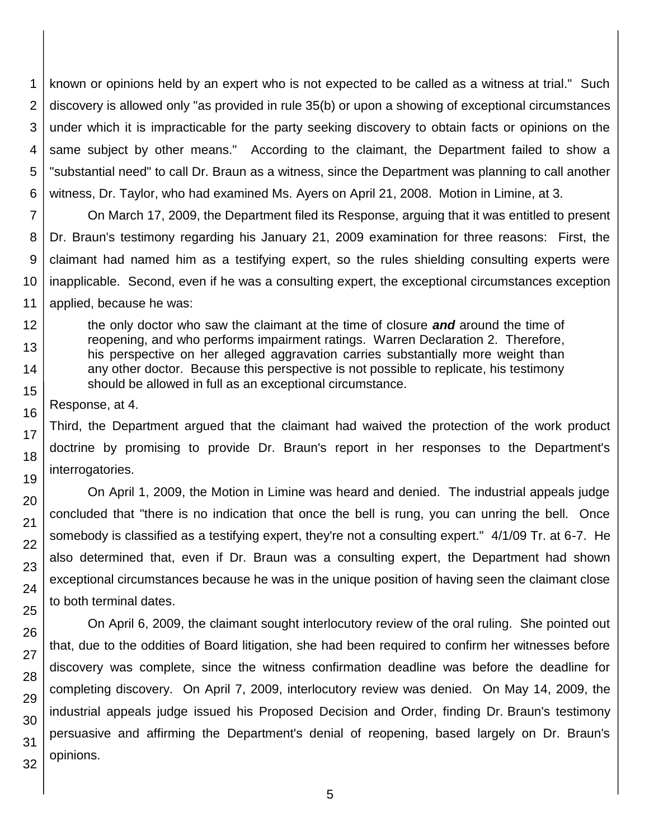1 2 3 4 5 6 known or opinions held by an expert who is not expected to be called as a witness at trial." Such discovery is allowed only "as provided in rule 35(b) or upon a showing of exceptional circumstances under which it is impracticable for the party seeking discovery to obtain facts or opinions on the same subject by other means." According to the claimant, the Department failed to show a "substantial need" to call Dr. Braun as a witness, since the Department was planning to call another witness, Dr. Taylor, who had examined Ms. Ayers on April 21, 2008. Motion in Limine, at 3.

7 8 9 10 11 On March 17, 2009, the Department filed its Response, arguing that it was entitled to present Dr. Braun's testimony regarding his January 21, 2009 examination for three reasons: First, the claimant had named him as a testifying expert, so the rules shielding consulting experts were inapplicable. Second, even if he was a consulting expert, the exceptional circumstances exception applied, because he was:

the only doctor who saw the claimant at the time of closure *and* around the time of reopening, and who performs impairment ratings. Warren Declaration 2. Therefore, his perspective on her alleged aggravation carries substantially more weight than any other doctor. Because this perspective is not possible to replicate, his testimony should be allowed in full as an exceptional circumstance.

Response, at 4.

12

13

14

15

16

17

18

19

20

21 22

23

24

25

26

27

28

29 30

31

32

Third, the Department argued that the claimant had waived the protection of the work product doctrine by promising to provide Dr. Braun's report in her responses to the Department's interrogatories.

On April 1, 2009, the Motion in Limine was heard and denied. The industrial appeals judge concluded that "there is no indication that once the bell is rung, you can unring the bell. Once somebody is classified as a testifying expert, they're not a consulting expert." 4/1/09 Tr. at 6-7. He also determined that, even if Dr. Braun was a consulting expert, the Department had shown exceptional circumstances because he was in the unique position of having seen the claimant close to both terminal dates.

On April 6, 2009, the claimant sought interlocutory review of the oral ruling. She pointed out that, due to the oddities of Board litigation, she had been required to confirm her witnesses before discovery was complete, since the witness confirmation deadline was before the deadline for completing discovery. On April 7, 2009, interlocutory review was denied. On May 14, 2009, the industrial appeals judge issued his Proposed Decision and Order, finding Dr. Braun's testimony persuasive and affirming the Department's denial of reopening, based largely on Dr. Braun's opinions.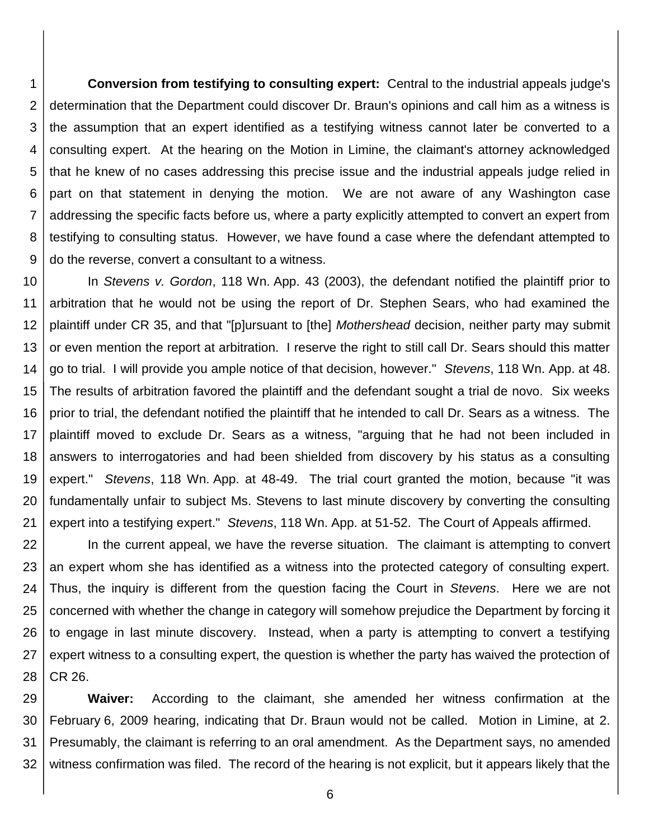1 2 3 4 5 6 7 8 9 **Conversion from testifying to consulting expert:** Central to the industrial appeals judge's determination that the Department could discover Dr. Braun's opinions and call him as a witness is the assumption that an expert identified as a testifying witness cannot later be converted to a consulting expert. At the hearing on the Motion in Limine, the claimant's attorney acknowledged that he knew of no cases addressing this precise issue and the industrial appeals judge relied in part on that statement in denying the motion. We are not aware of any Washington case addressing the specific facts before us, where a party explicitly attempted to convert an expert from testifying to consulting status. However, we have found a case where the defendant attempted to do the reverse, convert a consultant to a witness.

10 11 12 13 14 15 16 17 18 19 20 21 In *Stevens v. Gordon*, 118 Wn. App. 43 (2003), the defendant notified the plaintiff prior to arbitration that he would not be using the report of Dr. Stephen Sears, who had examined the plaintiff under CR 35, and that "[p]ursuant to [the] *Mothershead* decision, neither party may submit or even mention the report at arbitration. I reserve the right to still call Dr. Sears should this matter go to trial. I will provide you ample notice of that decision, however." *Stevens*, 118 Wn. App. at 48. The results of arbitration favored the plaintiff and the defendant sought a trial de novo. Six weeks prior to trial, the defendant notified the plaintiff that he intended to call Dr. Sears as a witness. The plaintiff moved to exclude Dr. Sears as a witness, "arguing that he had not been included in answers to interrogatories and had been shielded from discovery by his status as a consulting expert." *Stevens*, 118 Wn. App. at 48-49. The trial court granted the motion, because "it was fundamentally unfair to subject Ms. Stevens to last minute discovery by converting the consulting expert into a testifying expert." *Stevens*, 118 Wn. App. at 51-52. The Court of Appeals affirmed.

22 23 24 25 26 27 28 In the current appeal, we have the reverse situation. The claimant is attempting to convert an expert whom she has identified as a witness into the protected category of consulting expert. Thus, the inquiry is different from the question facing the Court in *Stevens*. Here we are not concerned with whether the change in category will somehow prejudice the Department by forcing it to engage in last minute discovery. Instead, when a party is attempting to convert a testifying expert witness to a consulting expert, the question is whether the party has waived the protection of CR 26.

29 30 31 32 **Waiver:** According to the claimant, she amended her witness confirmation at the February 6, 2009 hearing, indicating that Dr. Braun would not be called. Motion in Limine, at 2. Presumably, the claimant is referring to an oral amendment. As the Department says, no amended witness confirmation was filed. The record of the hearing is not explicit, but it appears likely that the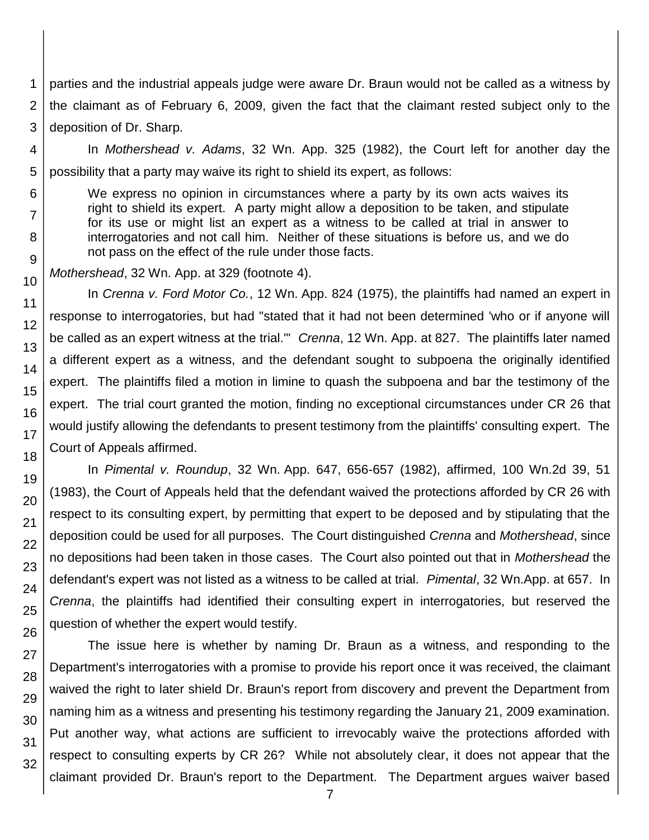1 parties and the industrial appeals judge were aware Dr. Braun would not be called as a witness by the claimant as of February 6, 2009, given the fact that the claimant rested subject only to the deposition of Dr. Sharp.

In *Mothershead v. Adams*, 32 Wn. App. 325 (1982), the Court left for another day the possibility that a party may waive its right to shield its expert, as follows:

We express no opinion in circumstances where a party by its own acts waives its right to shield its expert. A party might allow a deposition to be taken, and stipulate for its use or might list an expert as a witness to be called at trial in answer to interrogatories and not call him. Neither of these situations is before us, and we do not pass on the effect of the rule under those facts.

*Mothershead*, 32 Wn. App. at 329 (footnote 4).

In *Crenna v. Ford Motor Co.*, 12 Wn. App. 824 (1975), the plaintiffs had named an expert in response to interrogatories, but had "stated that it had not been determined 'who or if anyone will be called as an expert witness at the trial.'" *Crenna*, 12 Wn. App. at 827. The plaintiffs later named a different expert as a witness, and the defendant sought to subpoena the originally identified expert. The plaintiffs filed a motion in limine to quash the subpoena and bar the testimony of the expert. The trial court granted the motion, finding no exceptional circumstances under CR 26 that would justify allowing the defendants to present testimony from the plaintiffs' consulting expert. The Court of Appeals affirmed.

In *Pimental v. Roundup*, 32 Wn. App. 647, 656-657 (1982), affirmed, 100 Wn.2d 39, 51 (1983), the Court of Appeals held that the defendant waived the protections afforded by CR 26 with respect to its consulting expert, by permitting that expert to be deposed and by stipulating that the deposition could be used for all purposes. The Court distinguished *Crenna* and *Mothershead*, since no depositions had been taken in those cases. The Court also pointed out that in *Mothershead* the defendant's expert was not listed as a witness to be called at trial. *Pimental*, 32 Wn.App. at 657. In *Crenna*, the plaintiffs had identified their consulting expert in interrogatories, but reserved the question of whether the expert would testify.

The issue here is whether by naming Dr. Braun as a witness, and responding to the Department's interrogatories with a promise to provide his report once it was received, the claimant waived the right to later shield Dr. Braun's report from discovery and prevent the Department from naming him as a witness and presenting his testimony regarding the January 21, 2009 examination. Put another way, what actions are sufficient to irrevocably waive the protections afforded with respect to consulting experts by CR 26? While not absolutely clear, it does not appear that the claimant provided Dr. Braun's report to the Department. The Department argues waiver based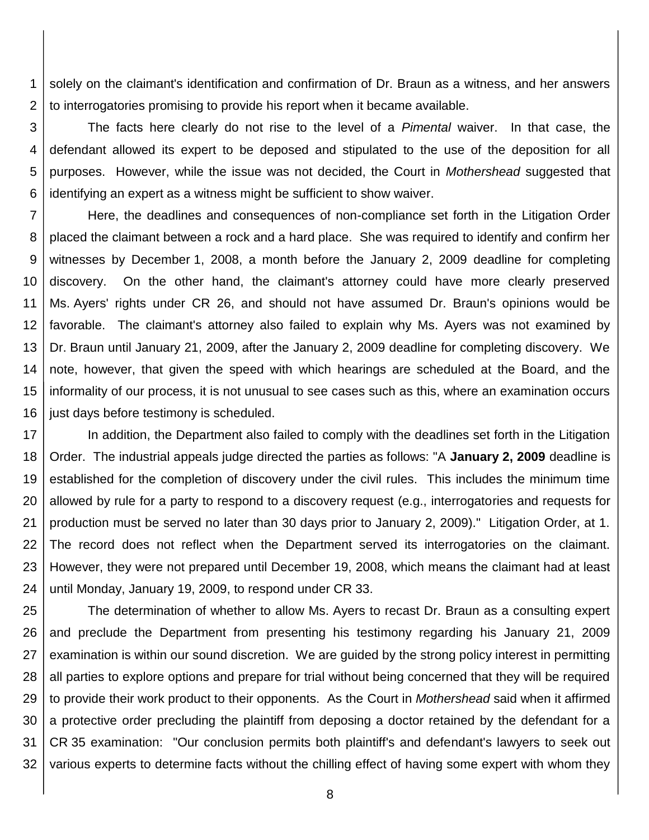1 2 solely on the claimant's identification and confirmation of Dr. Braun as a witness, and her answers to interrogatories promising to provide his report when it became available.

3 4 5 6 The facts here clearly do not rise to the level of a *Pimental* waiver. In that case, the defendant allowed its expert to be deposed and stipulated to the use of the deposition for all purposes. However, while the issue was not decided, the Court in *Mothershead* suggested that identifying an expert as a witness might be sufficient to show waiver.

7 8 9 10 11 12 13 14 15 16 Here, the deadlines and consequences of non-compliance set forth in the Litigation Order placed the claimant between a rock and a hard place. She was required to identify and confirm her witnesses by December 1, 2008, a month before the January 2, 2009 deadline for completing discovery. On the other hand, the claimant's attorney could have more clearly preserved Ms. Ayers' rights under CR 26, and should not have assumed Dr. Braun's opinions would be favorable. The claimant's attorney also failed to explain why Ms. Ayers was not examined by Dr. Braun until January 21, 2009, after the January 2, 2009 deadline for completing discovery. We note, however, that given the speed with which hearings are scheduled at the Board, and the informality of our process, it is not unusual to see cases such as this, where an examination occurs just days before testimony is scheduled.

17 18 19 20 21 22 23 24 In addition, the Department also failed to comply with the deadlines set forth in the Litigation Order. The industrial appeals judge directed the parties as follows: "A **January 2, 2009** deadline is established for the completion of discovery under the civil rules. This includes the minimum time allowed by rule for a party to respond to a discovery request (e.g., interrogatories and requests for production must be served no later than 30 days prior to January 2, 2009)." Litigation Order, at 1. The record does not reflect when the Department served its interrogatories on the claimant. However, they were not prepared until December 19, 2008, which means the claimant had at least until Monday, January 19, 2009, to respond under CR 33.

25 26 27 28 29 30 31 32 The determination of whether to allow Ms. Ayers to recast Dr. Braun as a consulting expert and preclude the Department from presenting his testimony regarding his January 21, 2009 examination is within our sound discretion. We are guided by the strong policy interest in permitting all parties to explore options and prepare for trial without being concerned that they will be required to provide their work product to their opponents. As the Court in *Mothershead* said when it affirmed a protective order precluding the plaintiff from deposing a doctor retained by the defendant for a CR 35 examination: "Our conclusion permits both plaintiff's and defendant's lawyers to seek out various experts to determine facts without the chilling effect of having some expert with whom they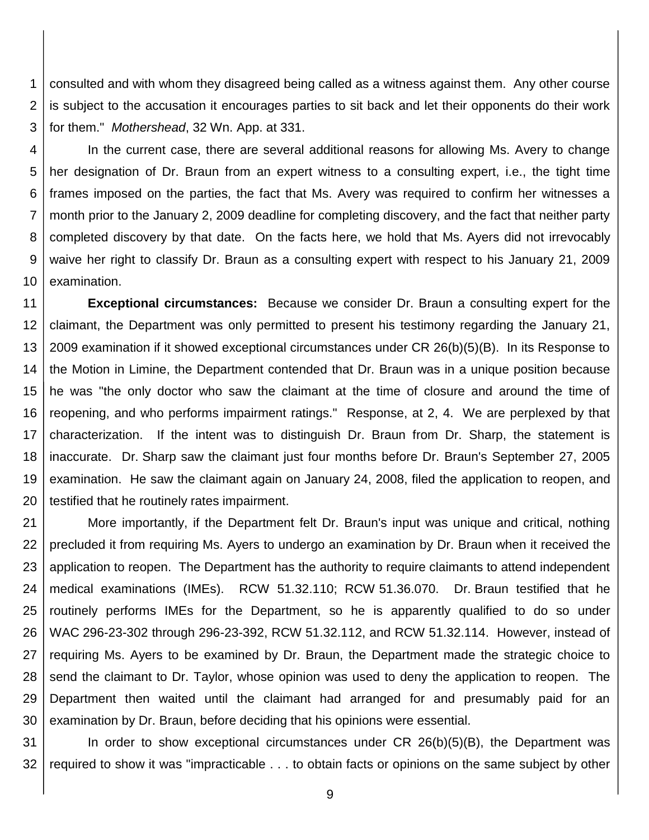1 2 3 consulted and with whom they disagreed being called as a witness against them. Any other course is subject to the accusation it encourages parties to sit back and let their opponents do their work for them." *Mothershead*, 32 Wn. App. at 331.

4 5 6 7 8 9 10 In the current case, there are several additional reasons for allowing Ms. Avery to change her designation of Dr. Braun from an expert witness to a consulting expert, i.e., the tight time frames imposed on the parties, the fact that Ms. Avery was required to confirm her witnesses a month prior to the January 2, 2009 deadline for completing discovery, and the fact that neither party completed discovery by that date. On the facts here, we hold that Ms. Ayers did not irrevocably waive her right to classify Dr. Braun as a consulting expert with respect to his January 21, 2009 examination.

11 12 13 14 15 16 17 18 19 20 **Exceptional circumstances:** Because we consider Dr. Braun a consulting expert for the claimant, the Department was only permitted to present his testimony regarding the January 21, 2009 examination if it showed exceptional circumstances under CR 26(b)(5)(B). In its Response to the Motion in Limine, the Department contended that Dr. Braun was in a unique position because he was "the only doctor who saw the claimant at the time of closure and around the time of reopening, and who performs impairment ratings." Response, at 2, 4. We are perplexed by that characterization. If the intent was to distinguish Dr. Braun from Dr. Sharp, the statement is inaccurate. Dr. Sharp saw the claimant just four months before Dr. Braun's September 27, 2005 examination. He saw the claimant again on January 24, 2008, filed the application to reopen, and testified that he routinely rates impairment.

21 22 23 24 25 26 27 28 29 30 More importantly, if the Department felt Dr. Braun's input was unique and critical, nothing precluded it from requiring Ms. Ayers to undergo an examination by Dr. Braun when it received the application to reopen. The Department has the authority to require claimants to attend independent medical examinations (IMEs). RCW 51.32.110; RCW 51.36.070. Dr. Braun testified that he routinely performs IMEs for the Department, so he is apparently qualified to do so under WAC 296-23-302 through 296-23-392, RCW 51.32.112, and RCW 51.32.114. However, instead of requiring Ms. Ayers to be examined by Dr. Braun, the Department made the strategic choice to send the claimant to Dr. Taylor, whose opinion was used to deny the application to reopen. The Department then waited until the claimant had arranged for and presumably paid for an examination by Dr. Braun, before deciding that his opinions were essential.

31 32 In order to show exceptional circumstances under CR 26(b)(5)(B), the Department was required to show it was "impracticable . . . to obtain facts or opinions on the same subject by other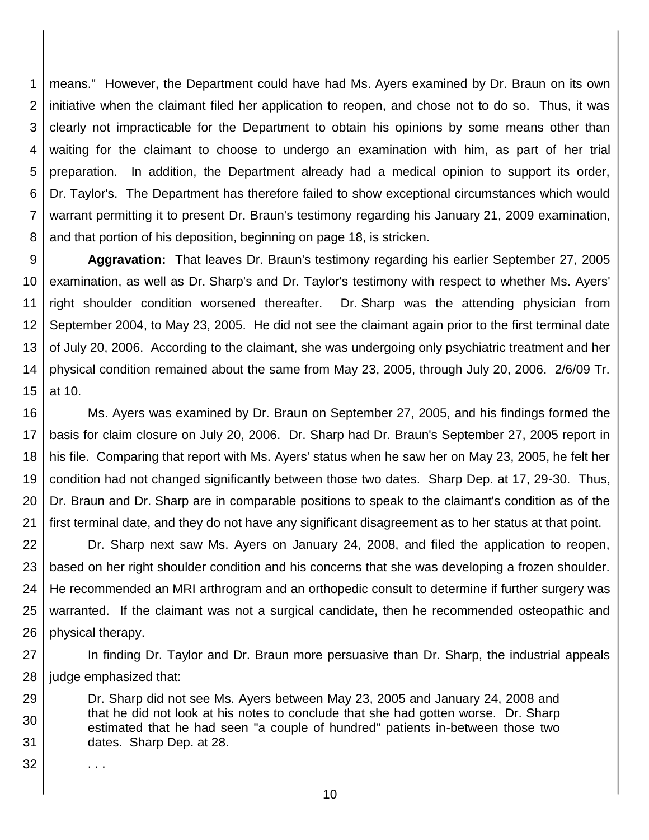1 2 3 4 5 6 7 8 means." However, the Department could have had Ms. Ayers examined by Dr. Braun on its own initiative when the claimant filed her application to reopen, and chose not to do so. Thus, it was clearly not impracticable for the Department to obtain his opinions by some means other than waiting for the claimant to choose to undergo an examination with him, as part of her trial preparation. In addition, the Department already had a medical opinion to support its order, Dr. Taylor's. The Department has therefore failed to show exceptional circumstances which would warrant permitting it to present Dr. Braun's testimony regarding his January 21, 2009 examination, and that portion of his deposition, beginning on page 18, is stricken.

9 10 11 12 13 14 15 **Aggravation:** That leaves Dr. Braun's testimony regarding his earlier September 27, 2005 examination, as well as Dr. Sharp's and Dr. Taylor's testimony with respect to whether Ms. Ayers' right shoulder condition worsened thereafter. Dr. Sharp was the attending physician from September 2004, to May 23, 2005. He did not see the claimant again prior to the first terminal date of July 20, 2006. According to the claimant, she was undergoing only psychiatric treatment and her physical condition remained about the same from May 23, 2005, through July 20, 2006. 2/6/09 Tr. at 10.

16 17 18 19 20 21 Ms. Ayers was examined by Dr. Braun on September 27, 2005, and his findings formed the basis for claim closure on July 20, 2006. Dr. Sharp had Dr. Braun's September 27, 2005 report in his file. Comparing that report with Ms. Ayers' status when he saw her on May 23, 2005, he felt her condition had not changed significantly between those two dates. Sharp Dep. at 17, 29-30. Thus, Dr. Braun and Dr. Sharp are in comparable positions to speak to the claimant's condition as of the first terminal date, and they do not have any significant disagreement as to her status at that point.

22 23 24 25 26 Dr. Sharp next saw Ms. Ayers on January 24, 2008, and filed the application to reopen, based on her right shoulder condition and his concerns that she was developing a frozen shoulder. He recommended an MRI arthrogram and an orthopedic consult to determine if further surgery was warranted. If the claimant was not a surgical candidate, then he recommended osteopathic and physical therapy.

27 28 In finding Dr. Taylor and Dr. Braun more persuasive than Dr. Sharp, the industrial appeals judge emphasized that:

29 30 31 Dr. Sharp did not see Ms. Ayers between May 23, 2005 and January 24, 2008 and that he did not look at his notes to conclude that she had gotten worse. Dr. Sharp estimated that he had seen "a couple of hundred" patients in-between those two dates. Sharp Dep. at 28.

. . .

32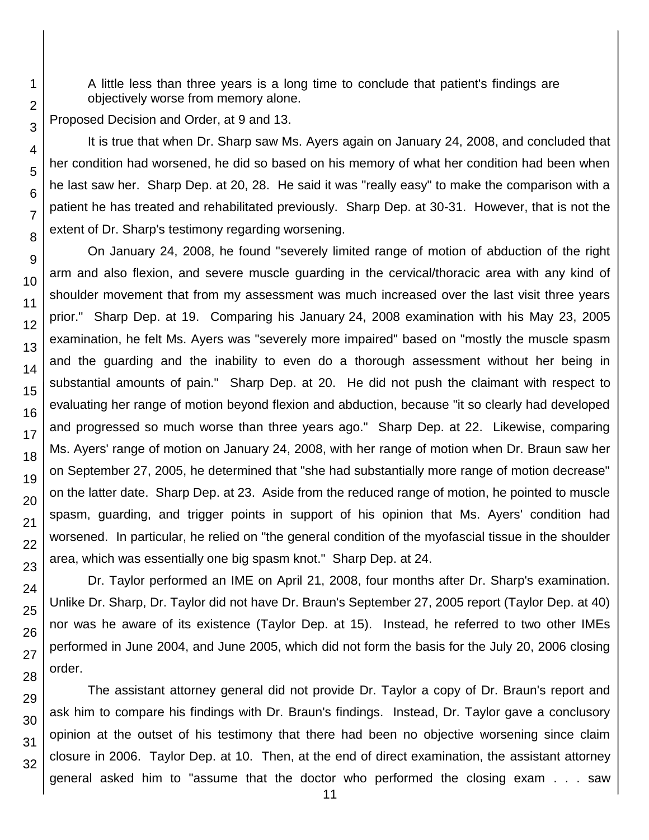A little less than three years is a long time to conclude that patient's findings are objectively worse from memory alone.

Proposed Decision and Order, at 9 and 13.

It is true that when Dr. Sharp saw Ms. Ayers again on January 24, 2008, and concluded that her condition had worsened, he did so based on his memory of what her condition had been when he last saw her. Sharp Dep. at 20, 28. He said it was "really easy" to make the comparison with a patient he has treated and rehabilitated previously. Sharp Dep. at 30-31. However, that is not the extent of Dr. Sharp's testimony regarding worsening.

On January 24, 2008, he found "severely limited range of motion of abduction of the right arm and also flexion, and severe muscle guarding in the cervical/thoracic area with any kind of shoulder movement that from my assessment was much increased over the last visit three years prior." Sharp Dep. at 19. Comparing his January 24, 2008 examination with his May 23, 2005 examination, he felt Ms. Ayers was "severely more impaired" based on "mostly the muscle spasm and the guarding and the inability to even do a thorough assessment without her being in substantial amounts of pain." Sharp Dep. at 20. He did not push the claimant with respect to evaluating her range of motion beyond flexion and abduction, because "it so clearly had developed and progressed so much worse than three years ago." Sharp Dep. at 22. Likewise, comparing Ms. Ayers' range of motion on January 24, 2008, with her range of motion when Dr. Braun saw her on September 27, 2005, he determined that "she had substantially more range of motion decrease" on the latter date. Sharp Dep. at 23. Aside from the reduced range of motion, he pointed to muscle spasm, guarding, and trigger points in support of his opinion that Ms. Ayers' condition had worsened. In particular, he relied on "the general condition of the myofascial tissue in the shoulder area, which was essentially one big spasm knot." Sharp Dep. at 24.

Dr. Taylor performed an IME on April 21, 2008, four months after Dr. Sharp's examination. Unlike Dr. Sharp, Dr. Taylor did not have Dr. Braun's September 27, 2005 report (Taylor Dep. at 40) nor was he aware of its existence (Taylor Dep. at 15). Instead, he referred to two other IMEs performed in June 2004, and June 2005, which did not form the basis for the July 20, 2006 closing order.

The assistant attorney general did not provide Dr. Taylor a copy of Dr. Braun's report and ask him to compare his findings with Dr. Braun's findings. Instead, Dr. Taylor gave a conclusory opinion at the outset of his testimony that there had been no objective worsening since claim closure in 2006. Taylor Dep. at 10. Then, at the end of direct examination, the assistant attorney general asked him to "assume that the doctor who performed the closing exam . . . saw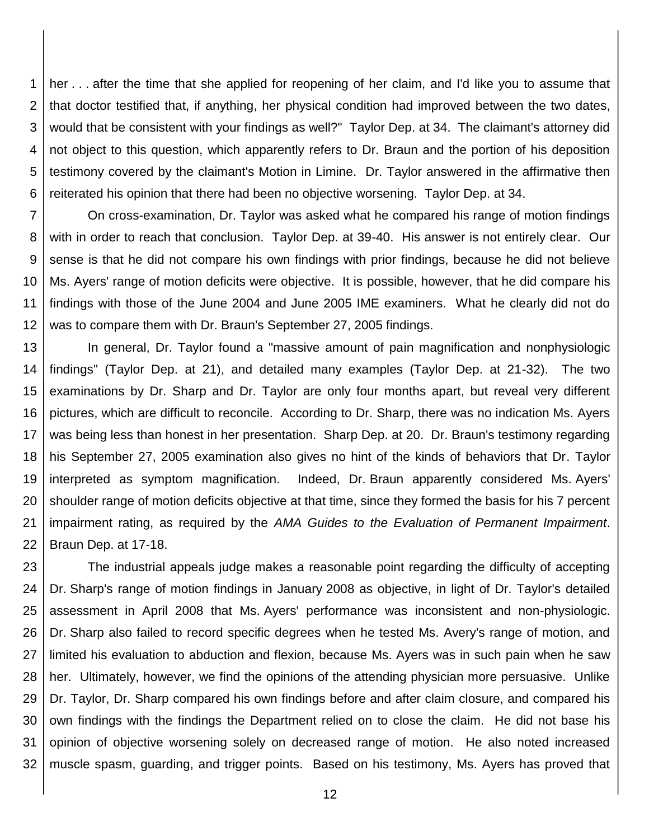1 2 3 4 5 6 her . . . after the time that she applied for reopening of her claim, and I'd like you to assume that that doctor testified that, if anything, her physical condition had improved between the two dates, would that be consistent with your findings as well?" Taylor Dep. at 34. The claimant's attorney did not object to this question, which apparently refers to Dr. Braun and the portion of his deposition testimony covered by the claimant's Motion in Limine. Dr. Taylor answered in the affirmative then reiterated his opinion that there had been no objective worsening. Taylor Dep. at 34.

7 8 9 10 11 12 On cross-examination, Dr. Taylor was asked what he compared his range of motion findings with in order to reach that conclusion. Taylor Dep. at 39-40. His answer is not entirely clear. Our sense is that he did not compare his own findings with prior findings, because he did not believe Ms. Ayers' range of motion deficits were objective. It is possible, however, that he did compare his findings with those of the June 2004 and June 2005 IME examiners. What he clearly did not do was to compare them with Dr. Braun's September 27, 2005 findings.

13 14 15 16 17 18 19 20 21 22 In general, Dr. Taylor found a "massive amount of pain magnification and nonphysiologic findings" (Taylor Dep. at 21), and detailed many examples (Taylor Dep. at 21-32). The two examinations by Dr. Sharp and Dr. Taylor are only four months apart, but reveal very different pictures, which are difficult to reconcile. According to Dr. Sharp, there was no indication Ms. Ayers was being less than honest in her presentation. Sharp Dep. at 20. Dr. Braun's testimony regarding his September 27, 2005 examination also gives no hint of the kinds of behaviors that Dr. Taylor interpreted as symptom magnification. Indeed, Dr. Braun apparently considered Ms. Ayers' shoulder range of motion deficits objective at that time, since they formed the basis for his 7 percent impairment rating, as required by the *AMA Guides to the Evaluation of Permanent Impairment*. Braun Dep. at 17-18.

23 24 25 26 27 28 29 30 31 32 The industrial appeals judge makes a reasonable point regarding the difficulty of accepting Dr. Sharp's range of motion findings in January 2008 as objective, in light of Dr. Taylor's detailed assessment in April 2008 that Ms. Ayers' performance was inconsistent and non-physiologic. Dr. Sharp also failed to record specific degrees when he tested Ms. Avery's range of motion, and limited his evaluation to abduction and flexion, because Ms. Ayers was in such pain when he saw her. Ultimately, however, we find the opinions of the attending physician more persuasive. Unlike Dr. Taylor, Dr. Sharp compared his own findings before and after claim closure, and compared his own findings with the findings the Department relied on to close the claim. He did not base his opinion of objective worsening solely on decreased range of motion. He also noted increased muscle spasm, guarding, and trigger points. Based on his testimony, Ms. Ayers has proved that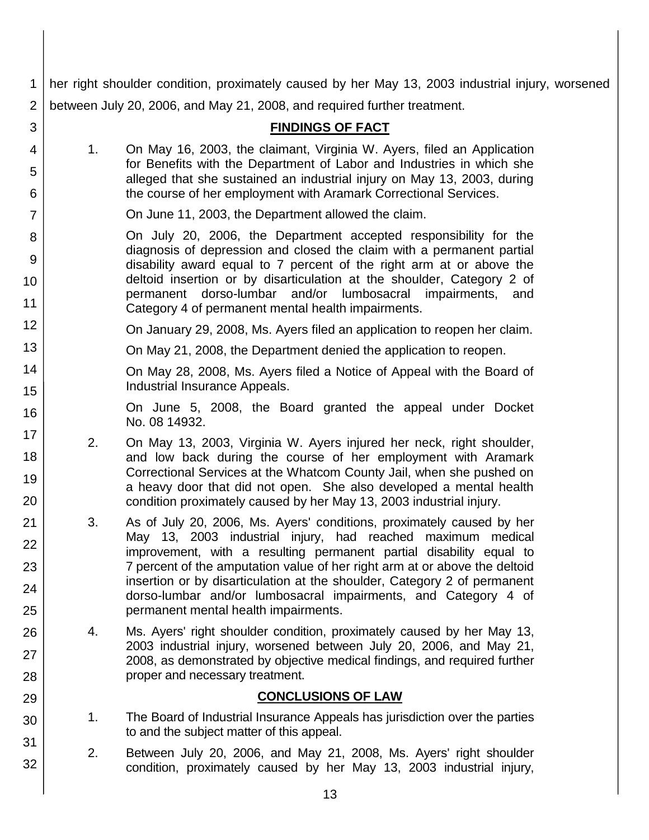1  $2<sup>1</sup>$ her right shoulder condition, proximately caused by her May 13, 2003 industrial injury, worsened between July 20, 2006, and May 21, 2008, and required further treatment.

3

4

5

6

7

8

9

10

11

12

13

14

15

16

17 18

19

20

21 22

23

24

25

26

27

28

29

30

31

32

|    | <b>FINDINGS OF FACT</b>                                                                                                                                                                                                                                                                                                                                                                                            |
|----|--------------------------------------------------------------------------------------------------------------------------------------------------------------------------------------------------------------------------------------------------------------------------------------------------------------------------------------------------------------------------------------------------------------------|
| 1. | On May 16, 2003, the claimant, Virginia W. Ayers, filed an Application<br>for Benefits with the Department of Labor and Industries in which she<br>alleged that she sustained an industrial injury on May 13, 2003, during<br>the course of her employment with Aramark Correctional Services.                                                                                                                     |
|    | On June 11, 2003, the Department allowed the claim.                                                                                                                                                                                                                                                                                                                                                                |
|    | On July 20, 2006, the Department accepted responsibility for the<br>diagnosis of depression and closed the claim with a permanent partial<br>disability award equal to 7 percent of the right arm at or above the<br>deltoid insertion or by disarticulation at the shoulder, Category 2 of<br>permanent dorso-lumbar and/or lumbosacral impairments,<br>and<br>Category 4 of permanent mental health impairments. |
|    | On January 29, 2008, Ms. Ayers filed an application to reopen her claim.                                                                                                                                                                                                                                                                                                                                           |
|    | On May 21, 2008, the Department denied the application to reopen.                                                                                                                                                                                                                                                                                                                                                  |
|    | On May 28, 2008, Ms. Ayers filed a Notice of Appeal with the Board of<br>Industrial Insurance Appeals.                                                                                                                                                                                                                                                                                                             |
|    | On June 5, 2008, the Board granted the appeal under Docket<br>No. 08 14932.                                                                                                                                                                                                                                                                                                                                        |
| 2. | On May 13, 2003, Virginia W. Ayers injured her neck, right shoulder,<br>and low back during the course of her employment with Aramark<br>Correctional Services at the Whatcom County Jail, when she pushed on<br>a heavy door that did not open. She also developed a mental health<br>condition proximately caused by her May 13, 2003 industrial injury.                                                         |
| 3. | As of July 20, 2006, Ms. Ayers' conditions, proximately caused by her<br>May 13, 2003 industrial injury, had reached maximum medical<br>improvement, with a resulting permanent partial disability equal to<br>7 percent of the amputation value of her right arm at or above the deltoid<br>insertion or by disarticulation at the shoulder, Category 2 of permanent                                              |

- dorso-lumbar and/or lumbosacral impairments, and Category 4 of permanent mental health impairments. 4. Ms. Ayers' right shoulder condition, proximately caused by her May 13,
- 2003 industrial injury, worsened between July 20, 2006, and May 21, 2008, as demonstrated by objective medical findings, and required further proper and necessary treatment.

## **CONCLUSIONS OF LAW**

- 1. The Board of Industrial Insurance Appeals has jurisdiction over the parties to and the subject matter of this appeal.
- 2. Between July 20, 2006, and May 21, 2008, Ms. Ayers' right shoulder condition, proximately caused by her May 13, 2003 industrial injury,